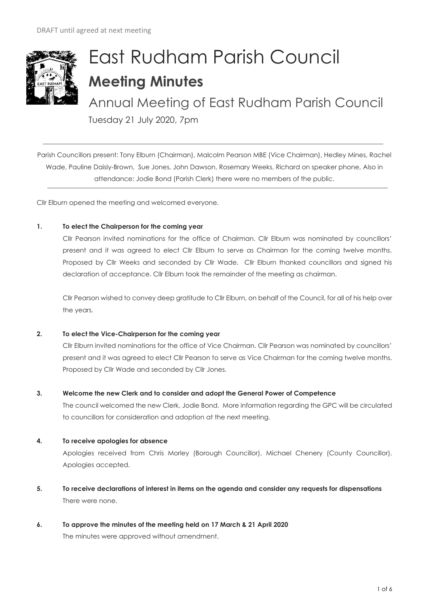

# East Rudham Parish Council **Meeting Minutes**

Annual Meeting of East Rudham Parish Council

Tuesday 21 July 2020, 7pm

Parish Councillors present: Tony Elburn (Chairman), Malcolm Pearson MBE (Vice Chairman), Hedley Mines, Rachel Wade, Pauline Daisly-Brown, Sue Jones, John Dawson, Rosemary Weeks, Richard on speaker phone, Also in attendance: Jodie Bond (Parish Clerk) there were no members of the public.

Cllr Elburn opened the meeting and welcomed everyone.

# **1. To elect the Chairperson for the coming year**

Cllr Pearson invited nominations for the office of Chairman. Cllr Elburn was nominated by councillors' present and it was agreed to elect Cllr Elburn to serve as Chairman for the coming twelve months. Proposed by Cllr Weeks and seconded by Cllr Wade. Cllr Elburn thanked councillors and signed his declaration of acceptance. Cllr Elburn took the remainder of the meeting as chairman.

Cllr Pearson wished to convey deep gratitude to Cllr Elburn, on behalf of the Council, for all of his help over the years.

# **2. To elect the Vice-Chairperson for the coming year**

Cllr Elburn invited nominations for the office of Vice Chairman. Cllr Pearson was nominated by councillors' present and it was agreed to elect Cllr Pearson to serve as Vice Chairman for the coming twelve months. Proposed by Cllr Wade and seconded by Cllr Jones.

# **3. Welcome the new Clerk and to consider and adopt the General Power of Competence**

The council welcomed the new Clerk, Jodie Bond. More information regarding the GPC will be circulated to councillors for consideration and adoption at the next meeting.

# **4. To receive apologies for absence**

Apologies received from Chris Morley (Borough Councillor), Michael Chenery (County Councillor). Apologies accepted.

- **5. To receive declarations of interest in items on the agenda and consider any requests for dispensations**  There were none.
- **6. To approve the minutes of the meeting held on 17 March & 21 April 2020**  The minutes were approved without amendment.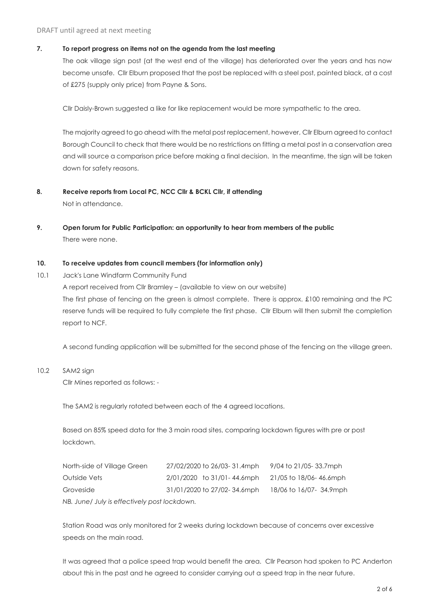#### DRAFT until agreed at next meeting

## **7. To report progress on items not on the agenda from the last meeting**

The oak village sign post (at the west end of the village) has deteriorated over the years and has now become unsafe. Cllr Elburn proposed that the post be replaced with a steel post, painted black, at a cost of £275 (supply only price) from Payne & Sons.

Cllr Daisly-Brown suggested a like for like replacement would be more sympathetic to the area.

The majority agreed to go ahead with the metal post replacement, however, Cllr Elburn agreed to contact Borough Council to check that there would be no restrictions on fitting a metal post in a conservation area and will source a comparison price before making a final decision. In the meantime, the sign will be taken down for safety reasons.

- **8. Receive reports from Local PC, NCC Cllr & BCKL Cllr, if attending** Not in attendance.
- **9. Open forum for Public Participation: an opportunity to hear from members of the public** There were none.

## **10. To receive updates from council members (for information only)**

10.1 Jack's Lane Windfarm Community Fund A report received from Cllr Bramley – (available to view on our website) The first phase of fencing on the green is almost complete. There is approx. £100 remaining and the PC reserve funds will be required to fully complete the first phase. Cllr Elburn will then submit the completion report to NCF.

A second funding application will be submitted for the second phase of the fencing on the village green.

10.2 SAM2 sign

Cllr Mines reported as follows: -

The SAM2 is regularly rotated between each of the 4 agreed locations.

Based on 85% speed data for the 3 main road sites, comparing lockdown figures with pre or post lockdown.

| North-side of Village Green                  | 27/02/2020 to 26/03-31.4mph | 9/04 to 21/05- 33.7mph  |  |  |
|----------------------------------------------|-----------------------------|-------------------------|--|--|
| Outside Vets                                 | 2/01/2020 to 31/01-44.6mph  | 21/05 to 18/06-46.6mph  |  |  |
| Groveside                                    | 31/01/2020 to 27/02-34.6mph | 18/06 to 16/07- 34.9mph |  |  |
| NB. June/ July is effectively post lockdown. |                             |                         |  |  |

Station Road was only monitored for 2 weeks during lockdown because of concerns over excessive speeds on the main road.

It was agreed that a police speed trap would benefit the area. Cllr Pearson had spoken to PC Anderton about this in the past and he agreed to consider carrying out a speed trap in the near future.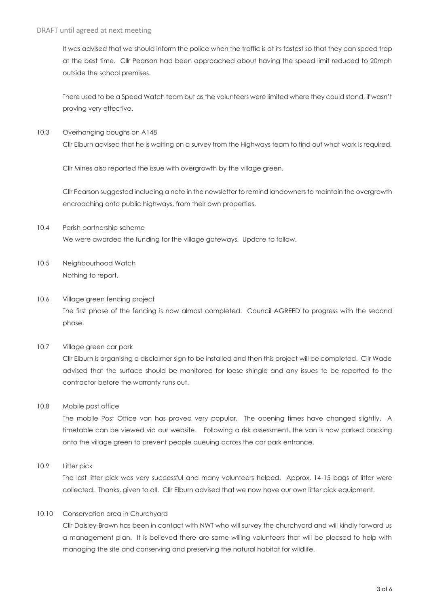It was advised that we should inform the police when the traffic is at its fastest so that they can speed trap at the best time. Cllr Pearson had been approached about having the speed limit reduced to 20mph outside the school premises.

There used to be a Speed Watch team but as the volunteers were limited where they could stand, if wasn't proving very effective.

10.3 Overhanging boughs on A148 Cllr Elburn advised that he is waiting on a survey from the Highways team to find out what work is required.

Cllr Mines also reported the issue with overgrowth by the village green.

Cllr Pearson suggested including a note in the newsletter to remind landowners to maintain the overgrowth encroaching onto public highways, from their own properties.

- 10.4 Parish partnership scheme We were awarded the funding for the village gateways. Update to follow.
- 10.5 Neighbourhood Watch Nothing to report.
- 10.6 Village green fencing project The first phase of the fencing is now almost completed. Council AGREED to progress with the second phase.

# 10.7 Village green car park

Cllr Elburn is organising a disclaimer sign to be installed and then this project will be completed. Cllr Wade advised that the surface should be monitored for loose shingle and any issues to be reported to the contractor before the warranty runs out.

10.8 Mobile post office

The mobile Post Office van has proved very popular. The opening times have changed slightly. A timetable can be viewed via our website. Following a risk assessment, the van is now parked backing onto the village green to prevent people queuing across the car park entrance.

10.9 Litter pick

The last litter pick was very successful and many volunteers helped. Approx. 14-15 bags of litter were collected. Thanks, given to all. Cllr Elburn advised that we now have our own litter pick equipment.

# 10.10 Conservation area in Churchyard

Cllr Daisley-Brown has been in contact with NWT who will survey the churchyard and will kindly forward us a management plan. It is believed there are some willing volunteers that will be pleased to help with managing the site and conserving and preserving the natural habitat for wildlife.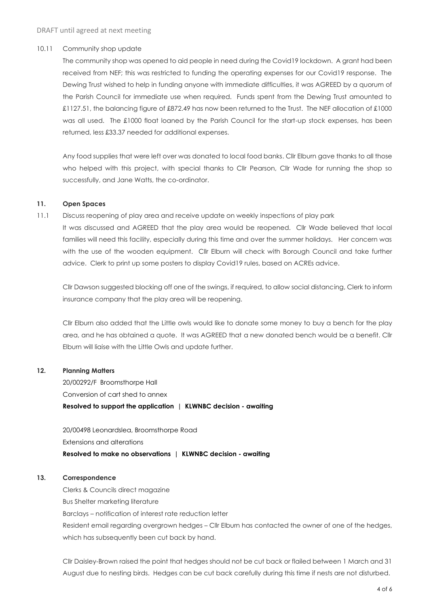#### 10.11 Community shop update

The community shop was opened to aid people in need during the Covid19 lockdown. A grant had been received from NEF; this was restricted to funding the operating expenses for our Covid19 response. The Dewing Trust wished to help in funding anyone with immediate difficulties, it was AGREED by a quorum of the Parish Council for immediate use when required. Funds spent from the Dewing Trust amounted to £1127.51, the balancing figure of £872.49 has now been returned to the Trust. The NEF allocation of £1000 was all used. The £1000 float loaned by the Parish Council for the start-up stock expenses, has been returned, less £33.37 needed for additional expenses.

Any food supplies that were left over was donated to local food banks. Cllr Elburn gave thanks to all those who helped with this project, with special thanks to Cllr Pearson, Cllr Wade for running the shop so successfully, and Jane Watts, the co-ordinator.

#### **11. Open Spaces**

11.1 Discuss reopening of play area and receive update on weekly inspections of play park It was discussed and AGREED that the play area would be reopened. Cllr Wade believed that local families will need this facility, especially during this time and over the summer holidays. Her concern was with the use of the wooden equipment. Cllr Elburn will check with Borough Council and take further advice. Clerk to print up some posters to display Covid19 rules, based on ACREs advice.

Cllr Dawson suggested blocking off one of the swings, if required, to allow social distancing, Clerk to inform insurance company that the play area will be reopening.

Cllr Elburn also added that the Little owls would like to donate some money to buy a bench for the play area, and he has obtained a quote. It was AGREED that a new donated bench would be a benefit. Cllr Elburn will liaise with the Little Owls and update further.

#### **12. Planning Matters**

20/00292/F Broomsthorpe Hall Conversion of cart shed to annex **Resolved to support the application | KLWNBC decision - awaiting**

20/00498 Leonardslea, Broomsthorpe Road Extensions and alterations **Resolved to make no observations | KLWNBC decision - awaiting**

#### **13. Correspondence**

Clerks & Councils direct magazine Bus Shelter marketing literature Barclays – notification of interest rate reduction letter Resident email regarding overgrown hedges – Cllr Elburn has contacted the owner of one of the hedges, which has subsequently been cut back by hand.

Cllr Daisley-Brown raised the point that hedges should not be cut back or flailed between 1 March and 31 August due to nesting birds. Hedges can be cut back carefully during this time if nests are not disturbed.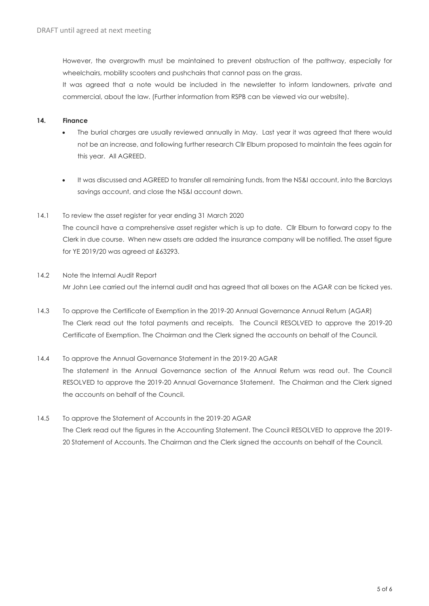However, the overgrowth must be maintained to prevent obstruction of the pathway, especially for wheelchairs, mobility scooters and pushchairs that cannot pass on the grass.

It was agreed that a note would be included in the newsletter to inform landowners, private and commercial, about the law. (Further information from RSPB can be viewed via our website).

# **14. Finance**

- The burial charges are usually reviewed annually in May. Last year it was agreed that there would not be an increase, and following further research Cllr Elburn proposed to maintain the fees again for this year. All AGREED.
- It was discussed and AGREED to transfer all remaining funds, from the NS&I account, into the Barclays savings account, and close the NS&I account down.

## 14.1 To review the asset register for year ending 31 March 2020

The council have a comprehensive asset register which is up to date. Cllr Elburn to forward copy to the Clerk in due course. When new assets are added the insurance company will be notified. The asset figure for YE 2019/20 was agreed at £63293.

- 14.2 Note the Internal Audit Report Mr John Lee carried out the internal audit and has agreed that all boxes on the AGAR can be ticked yes.
- 14.3 To approve the Certificate of Exemption in the 2019-20 Annual Governance Annual Return (AGAR) The Clerk read out the total payments and receipts. The Council RESOLVED to approve the 2019-20 Certificate of Exemption. The Chairman and the Clerk signed the accounts on behalf of the Council.
- 14.4 To approve the Annual Governance Statement in the 2019-20 AGAR The statement in the Annual Governance section of the Annual Return was read out. The Council RESOLVED to approve the 2019-20 Annual Governance Statement. The Chairman and the Clerk signed the accounts on behalf of the Council.
- 14.5 To approve the Statement of Accounts in the 2019-20 AGAR The Clerk read out the figures in the Accounting Statement. The Council RESOLVED to approve the 2019- 20 Statement of Accounts. The Chairman and the Clerk signed the accounts on behalf of the Council.